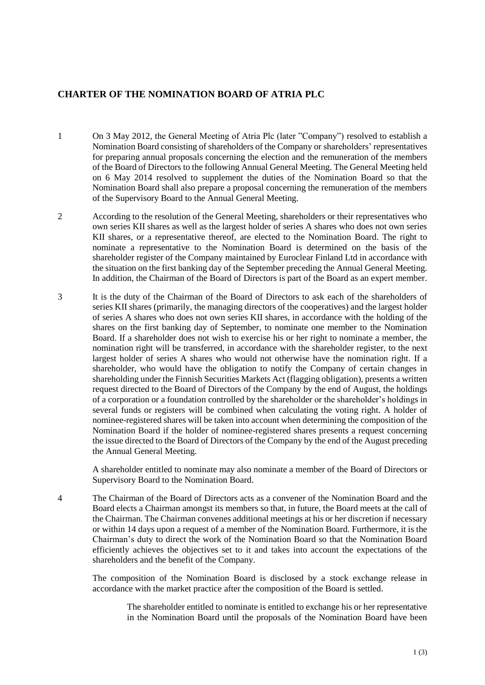## **CHARTER OF THE NOMINATION BOARD OF ATRIA PLC**

- 1 On 3 May 2012, the General Meeting of Atria Plc (later "Company") resolved to establish a Nomination Board consisting of shareholders of the Company or shareholders' representatives for preparing annual proposals concerning the election and the remuneration of the members of the Board of Directors to the following Annual General Meeting. The General Meeting held on 6 May 2014 resolved to supplement the duties of the Nomination Board so that the Nomination Board shall also prepare a proposal concerning the remuneration of the members of the Supervisory Board to the Annual General Meeting.
- 2 According to the resolution of the General Meeting, shareholders or their representatives who own series KII shares as well as the largest holder of series A shares who does not own series KII shares, or a representative thereof, are elected to the Nomination Board. The right to nominate a representative to the Nomination Board is determined on the basis of the shareholder register of the Company maintained by Euroclear Finland Ltd in accordance with the situation on the first banking day of the September preceding the Annual General Meeting. In addition, the Chairman of the Board of Directors is part of the Board as an expert member.
- 3 It is the duty of the Chairman of the Board of Directors to ask each of the shareholders of series KII shares (primarily, the managing directors of the cooperatives) and the largest holder of series A shares who does not own series KII shares, in accordance with the holding of the shares on the first banking day of September, to nominate one member to the Nomination Board. If a shareholder does not wish to exercise his or her right to nominate a member, the nomination right will be transferred, in accordance with the shareholder register, to the next largest holder of series A shares who would not otherwise have the nomination right. If a shareholder, who would have the obligation to notify the Company of certain changes in shareholding under the Finnish Securities Markets Act (flagging obligation), presents a written request directed to the Board of Directors of the Company by the end of August, the holdings of a corporation or a foundation controlled by the shareholder or the shareholder's holdings in several funds or registers will be combined when calculating the voting right. A holder of nominee-registered shares will be taken into account when determining the composition of the Nomination Board if the holder of nominee-registered shares presents a request concerning the issue directed to the Board of Directors of the Company by the end of the August preceding the Annual General Meeting.

A shareholder entitled to nominate may also nominate a member of the Board of Directors or Supervisory Board to the Nomination Board.

4 The Chairman of the Board of Directors acts as a convener of the Nomination Board and the Board elects a Chairman amongst its members so that, in future, the Board meets at the call of the Chairman. The Chairman convenes additional meetings at his or her discretion if necessary or within 14 days upon a request of a member of the Nomination Board. Furthermore, it is the Chairman's duty to direct the work of the Nomination Board so that the Nomination Board efficiently achieves the objectives set to it and takes into account the expectations of the shareholders and the benefit of the Company.

The composition of the Nomination Board is disclosed by a stock exchange release in accordance with the market practice after the composition of the Board is settled.

> The shareholder entitled to nominate is entitled to exchange his or her representative in the Nomination Board until the proposals of the Nomination Board have been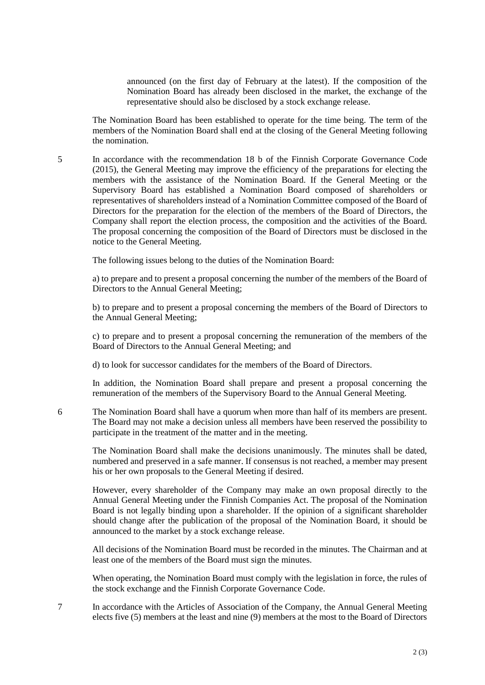announced (on the first day of February at the latest). If the composition of the Nomination Board has already been disclosed in the market, the exchange of the representative should also be disclosed by a stock exchange release.

The Nomination Board has been established to operate for the time being. The term of the members of the Nomination Board shall end at the closing of the General Meeting following the nomination.

5 In accordance with the recommendation 18 b of the Finnish Corporate Governance Code (2015), the General Meeting may improve the efficiency of the preparations for electing the members with the assistance of the Nomination Board. If the General Meeting or the Supervisory Board has established a Nomination Board composed of shareholders or representatives of shareholders instead of a Nomination Committee composed of the Board of Directors for the preparation for the election of the members of the Board of Directors, the Company shall report the election process, the composition and the activities of the Board. The proposal concerning the composition of the Board of Directors must be disclosed in the notice to the General Meeting.

The following issues belong to the duties of the Nomination Board:

a) to prepare and to present a proposal concerning the number of the members of the Board of Directors to the Annual General Meeting;

b) to prepare and to present a proposal concerning the members of the Board of Directors to the Annual General Meeting;

c) to prepare and to present a proposal concerning the remuneration of the members of the Board of Directors to the Annual General Meeting; and

d) to look for successor candidates for the members of the Board of Directors.

In addition, the Nomination Board shall prepare and present a proposal concerning the remuneration of the members of the Supervisory Board to the Annual General Meeting.

6 The Nomination Board shall have a quorum when more than half of its members are present. The Board may not make a decision unless all members have been reserved the possibility to participate in the treatment of the matter and in the meeting.

The Nomination Board shall make the decisions unanimously. The minutes shall be dated, numbered and preserved in a safe manner. If consensus is not reached, a member may present his or her own proposals to the General Meeting if desired.

However, every shareholder of the Company may make an own proposal directly to the Annual General Meeting under the Finnish Companies Act. The proposal of the Nomination Board is not legally binding upon a shareholder. If the opinion of a significant shareholder should change after the publication of the proposal of the Nomination Board, it should be announced to the market by a stock exchange release.

All decisions of the Nomination Board must be recorded in the minutes. The Chairman and at least one of the members of the Board must sign the minutes.

When operating, the Nomination Board must comply with the legislation in force, the rules of the stock exchange and the Finnish Corporate Governance Code.

7 In accordance with the Articles of Association of the Company, the Annual General Meeting elects five (5) members at the least and nine (9) members at the most to the Board of Directors